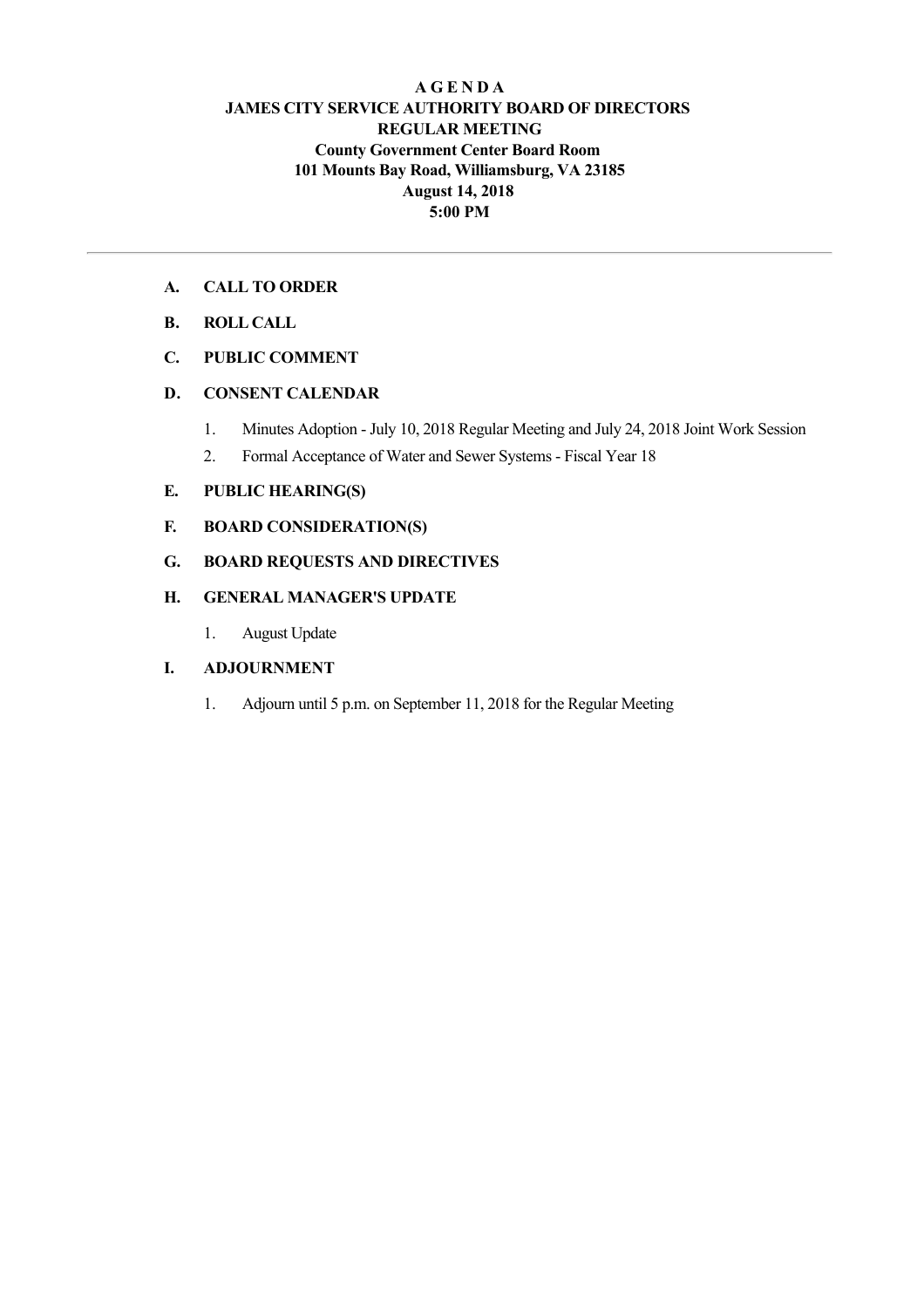## **A G E N D A JAMES CITY SERVICE AUTHORITY BOARD OF DIRECTORS REGULAR MEETING County Government Center Board Room 101 Mounts Bay Road, Williamsburg, VA 23185 August 14, 2018 5:00 PM**

## **A. CALL TO ORDER**

**B. ROLL CALL**

# **C. PUBLIC COMMENT**

## **D. CONSENT CALENDAR**

- 1. Minutes Adoption July 10, 2018 Regular Meeting and July 24, 2018 Joint Work Session
- 2. Formal Acceptance of Water and Sewer Systems Fiscal Year 18

## **E. PUBLIC HEARING(S)**

- **F. BOARD CONSIDERATION(S)**
- **G. BOARD REQUESTS AND DIRECTIVES**

## **H. GENERAL MANAGER'S UPDATE**

1. August Update

#### **I. ADJOURNMENT**

1. Adjourn until 5 p.m. on September 11, 2018 for the Regular Meeting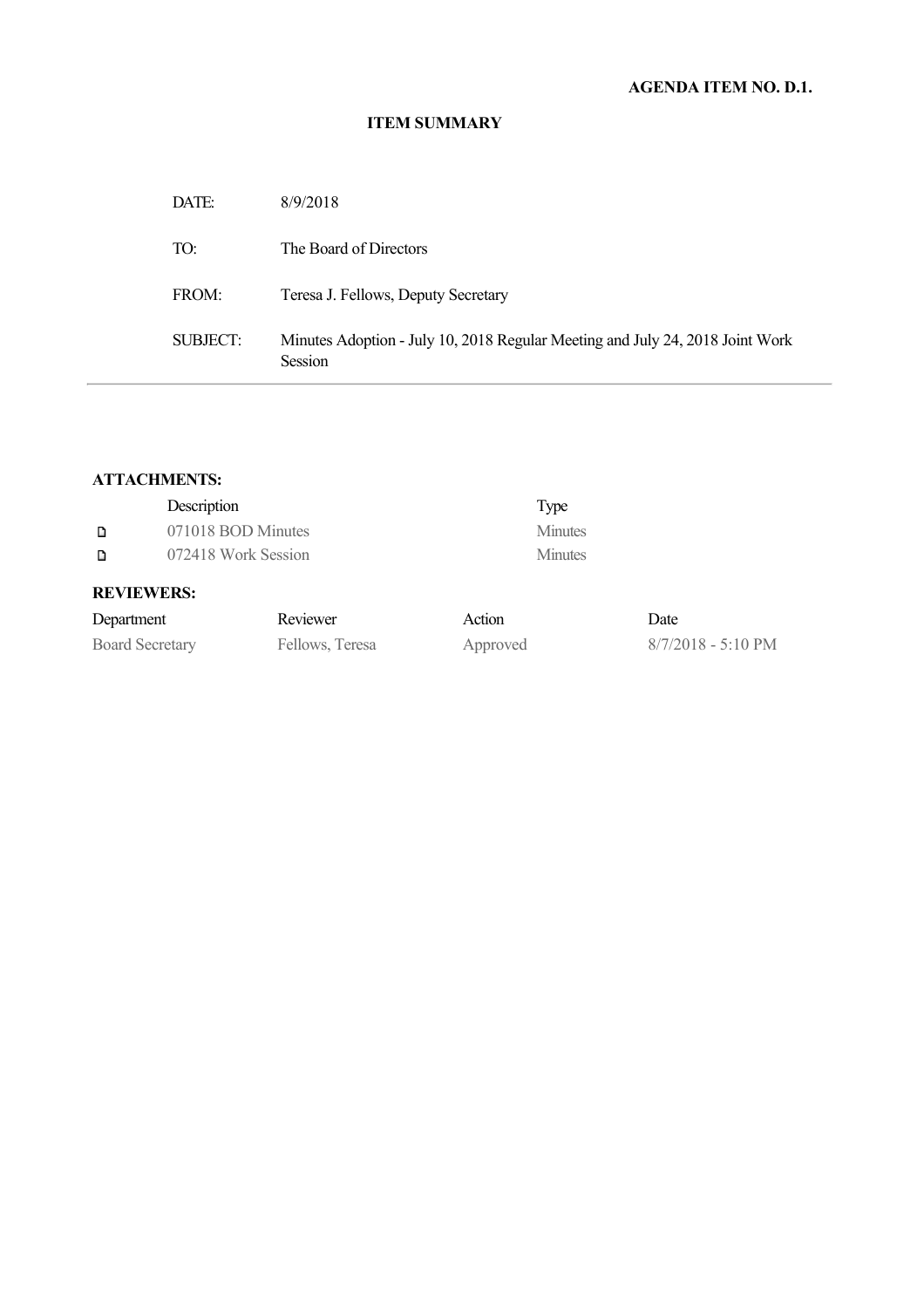| DATE:    | 8/9/2018                                                                                 |
|----------|------------------------------------------------------------------------------------------|
| TO:      | The Board of Directors                                                                   |
| FROM:    | Teresa J. Fellows, Deputy Secretary                                                      |
| SUBJECT: | Minutes Adoption - July 10, 2018 Regular Meeting and July 24, 2018 Joint Work<br>Session |

# **ATTACHMENTS:**

|                          | Description        |          |                | Type           |  |
|--------------------------|--------------------|----------|----------------|----------------|--|
| D                        | 071018 BOD Minutes |          |                | <b>Minutes</b> |  |
| 072418 Work Session<br>D |                    |          |                | <b>Minutes</b> |  |
|                          | <b>REVIEWERS:</b>  |          |                |                |  |
| Denartment               |                    | Reviewer | $\Delta$ ction |                |  |

| Department             | Reviewer        | Action   | Date               |
|------------------------|-----------------|----------|--------------------|
| <b>Board Secretary</b> | Fellows, Teresa | Approved | 8/7/2018 - 5:10 PM |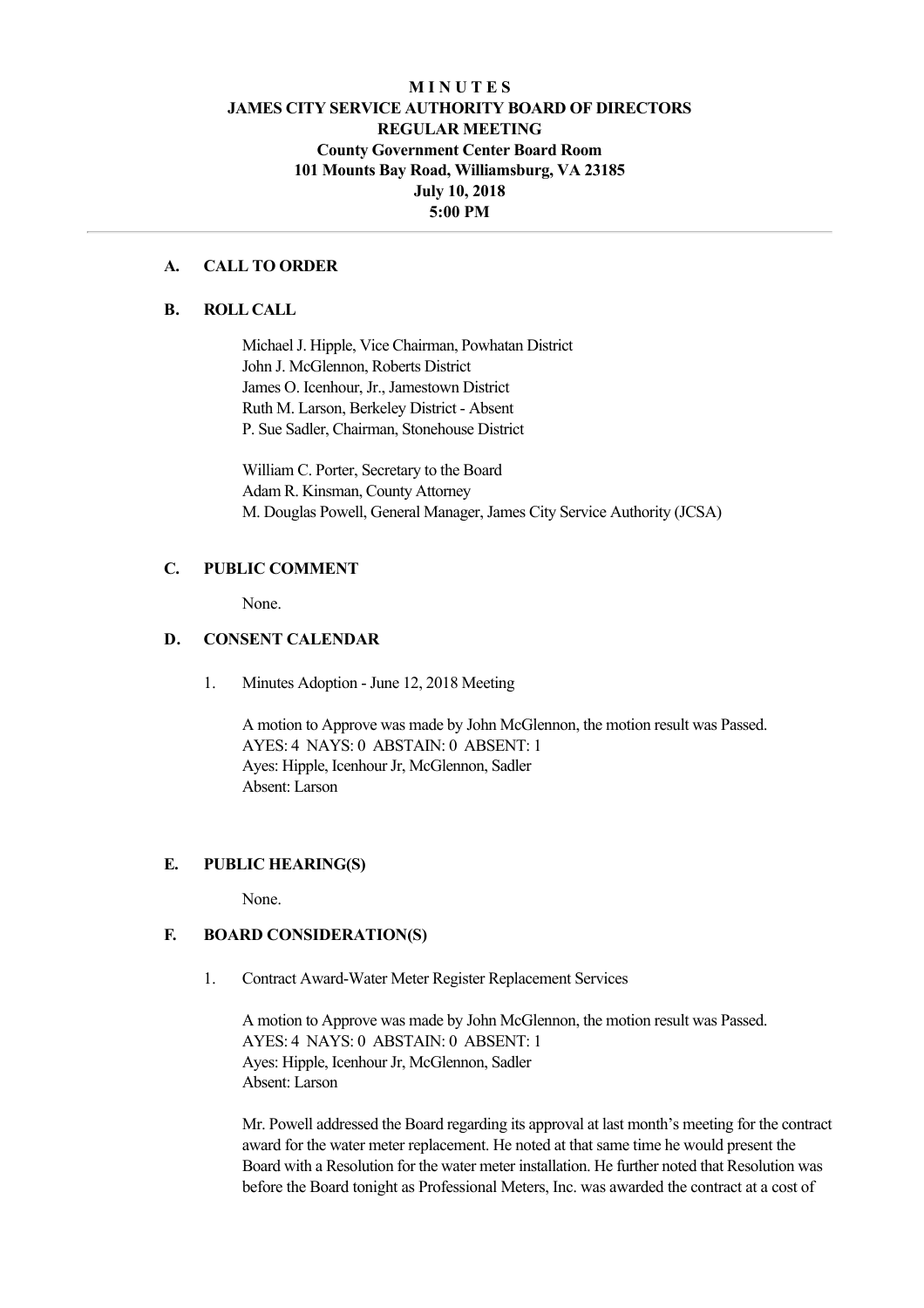# **M I N U T E S JAMES CITY SERVICE AUTHORITY BOARD OF DIRECTORS REGULAR MEETING County Government Center Board Room 101 Mounts Bay Road, Williamsburg, VA 23185 July 10, 2018 5:00 PM**

## **A. CALL TO ORDER**

#### **B. ROLL CALL**

Michael J. Hipple, Vice Chairman, Powhatan District John J. McGlennon, Roberts District James O. Icenhour, Jr., Jamestown District Ruth M. Larson, Berkeley District - Absent P. Sue Sadler, Chairman, Stonehouse District

William C. Porter, Secretary to the Board Adam R. Kinsman, County Attorney M. Douglas Powell, General Manager, James City Service Authority (JCSA)

#### **C. PUBLIC COMMENT**

None.

# **D. CONSENT CALENDAR**

1. Minutes Adoption - June 12, 2018 Meeting

A motion to Approve was made by John McGlennon, the motion result was Passed. AYES: 4 NAYS: 0 ABSTAIN: 0 ABSENT: 1 Ayes: Hipple, Icenhour Jr, McGlennon, Sadler Absent: Larson

## **E. PUBLIC HEARING(S)**

None.

#### **F. BOARD CONSIDERATION(S)**

1. Contract Award-Water Meter Register Replacement Services

A motion to Approve was made by John McGlennon, the motion result was Passed. AYES: 4 NAYS: 0 ABSTAIN: 0 ABSENT: 1 Ayes: Hipple, Icenhour Jr, McGlennon, Sadler Absent: Larson

Mr. Powell addressed the Board regarding its approval at last month's meeting for the contract award for the water meter replacement. He noted at that same time he would present the Board with a Resolution for the water meter installation. He further noted that Resolution was before the Board tonight as Professional Meters, Inc. was awarded the contract at a cost of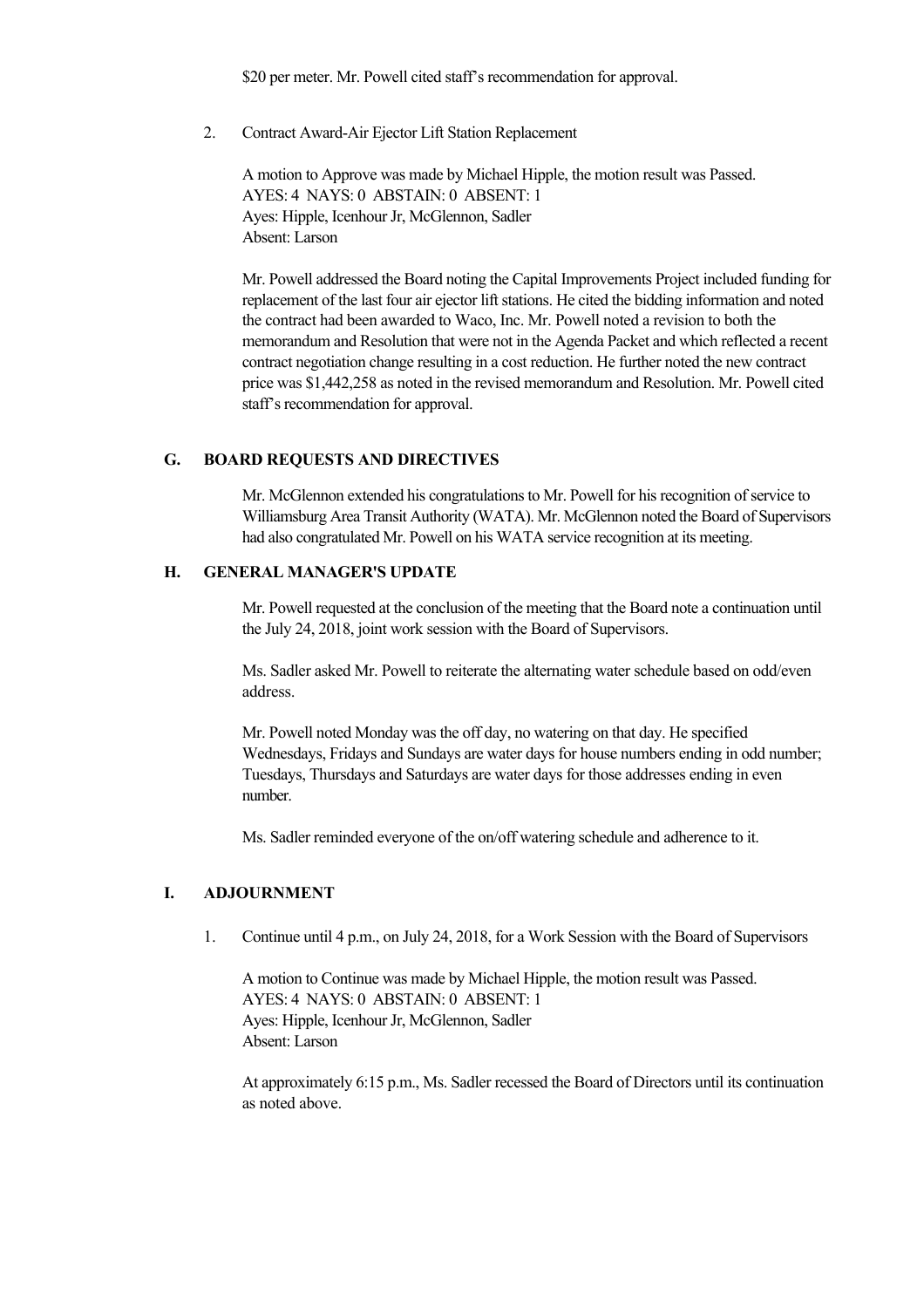\$20 per meter. Mr. Powell cited staff's recommendation for approval.

2. Contract Award-Air Ejector Lift Station Replacement

A motion to Approve was made by Michael Hipple, the motion result was Passed. AYES: 4 NAYS: 0 ABSTAIN: 0 ABSENT: 1 Ayes: Hipple, Icenhour Jr, McGlennon, Sadler Absent: Larson

Mr. Powell addressed the Board noting the Capital Improvements Project included funding for replacement of the last four air ejector lift stations. He cited the bidding information and noted the contract had been awarded to Waco, Inc. Mr. Powell noted a revision to both the memorandum and Resolution that were not in the Agenda Packet and which reflected a recent contract negotiation change resulting in a cost reduction. He further noted the new contract price was \$1,442,258 as noted in the revised memorandum and Resolution. Mr. Powell cited staff's recommendation for approval.

#### **G. BOARD REQUESTS AND DIRECTIVES**

Mr. McGlennon extended his congratulations to Mr. Powell for his recognition of service to Williamsburg Area Transit Authority (WATA). Mr. McGlennon noted the Board of Supervisors had also congratulated Mr. Powell on his WATA service recognition at its meeting.

#### **H. GENERAL MANAGER'S UPDATE**

Mr. Powell requested at the conclusion of the meeting that the Board note a continuation until the July 24, 2018, joint work session with the Board of Supervisors.

Ms. Sadler asked Mr. Powell to reiterate the alternating water schedule based on odd/even address.

Mr. Powell noted Monday was the off day, no watering on that day. He specified Wednesdays, Fridays and Sundays are water days for house numbers ending in odd number; Tuesdays, Thursdays and Saturdays are water days for those addresses ending in even number.

Ms. Sadler reminded everyone of the on/off watering schedule and adherence to it.

#### **I. ADJOURNMENT**

1. Continue until 4 p.m., on July 24, 2018, for a Work Session with the Board of Supervisors

A motion to Continue was made by Michael Hipple, the motion result was Passed. AYES: 4 NAYS: 0 ABSTAIN: 0 ABSENT: 1 Ayes: Hipple, Icenhour Jr, McGlennon, Sadler Absent: Larson

At approximately 6:15 p.m., Ms. Sadler recessed the Board of Directors until its continuation as noted above.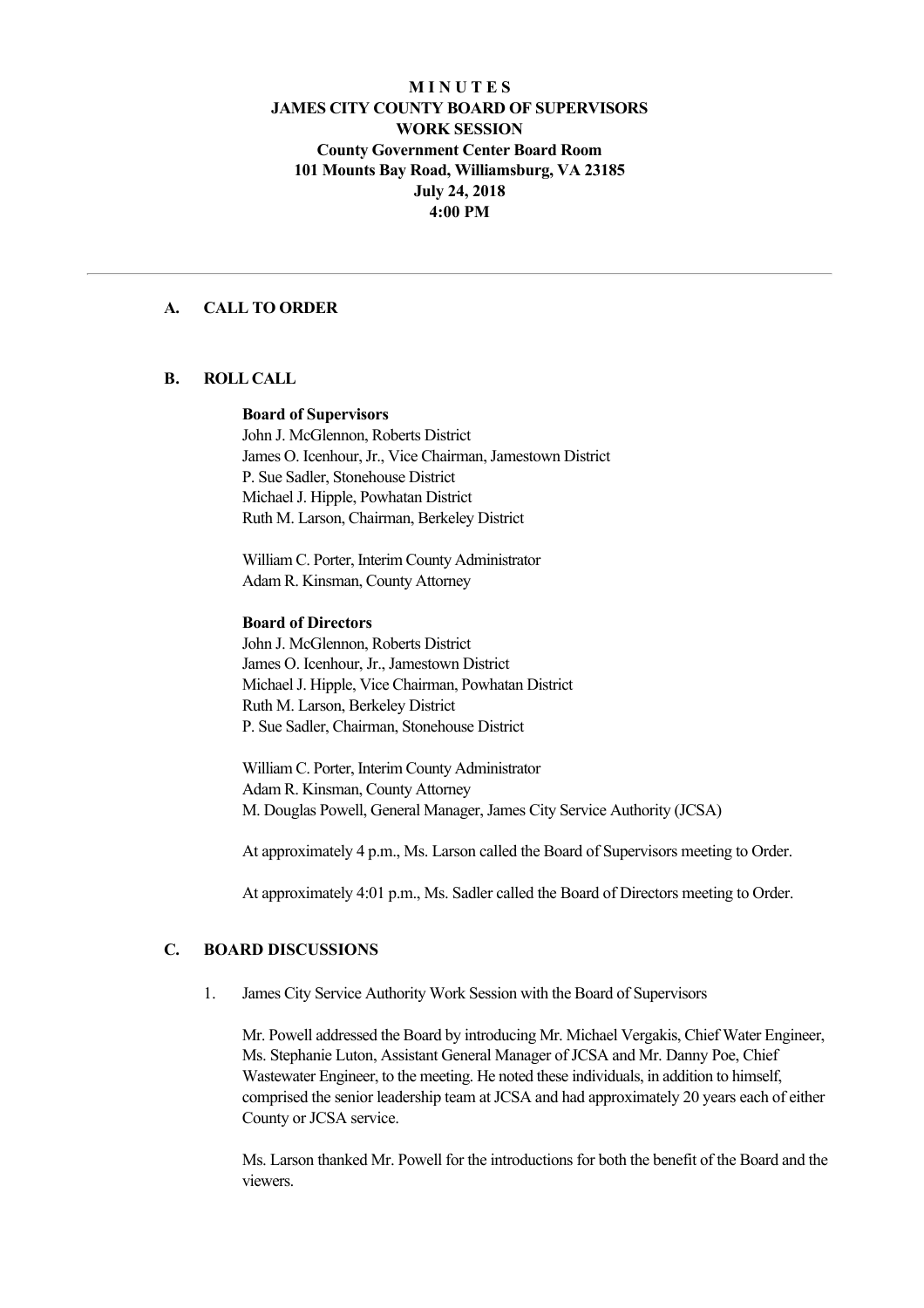## **M I N U T E S JAMES CITY COUNTY BOARD OF SUPERVISORS WORK SESSION County Government Center Board Room 101 Mounts Bay Road, Williamsburg, VA 23185 July 24, 2018 4:00 PM**

## **A. CALL TO ORDER**

#### **B. ROLL CALL**

#### **Board of Supervisors**

John J. McGlennon, Roberts District James O. Icenhour, Jr., Vice Chairman, Jamestown District P. Sue Sadler, Stonehouse District Michael J. Hipple, Powhatan District Ruth M. Larson, Chairman, Berkeley District

William C. Porter, Interim County Administrator Adam R. Kinsman, County Attorney

#### **Board of Directors**

John J. McGlennon, Roberts District James O. Icenhour, Jr., Jamestown District Michael J. Hipple, Vice Chairman, Powhatan District Ruth M. Larson, Berkeley District P. Sue Sadler, Chairman, Stonehouse District

William C. Porter, Interim County Administrator Adam R. Kinsman, County Attorney M. Douglas Powell, General Manager, James City Service Authority (JCSA)

At approximately 4 p.m., Ms. Larson called the Board of Supervisors meeting to Order.

At approximately 4:01 p.m., Ms. Sadler called the Board of Directors meeting to Order.

# **C. BOARD DISCUSSIONS**

1. James City Service Authority Work Session with the Board of Supervisors

Mr. Powell addressed the Board by introducing Mr. Michael Vergakis, Chief Water Engineer, Ms. Stephanie Luton, Assistant General Manager of JCSA and Mr. Danny Poe, Chief Wastewater Engineer, to the meeting. He noted these individuals, in addition to himself, comprised the senior leadership team at JCSA and had approximately 20 years each of either County or JCSA service.

Ms. Larson thanked Mr. Powell for the introductions for both the benefit of the Board and the viewers.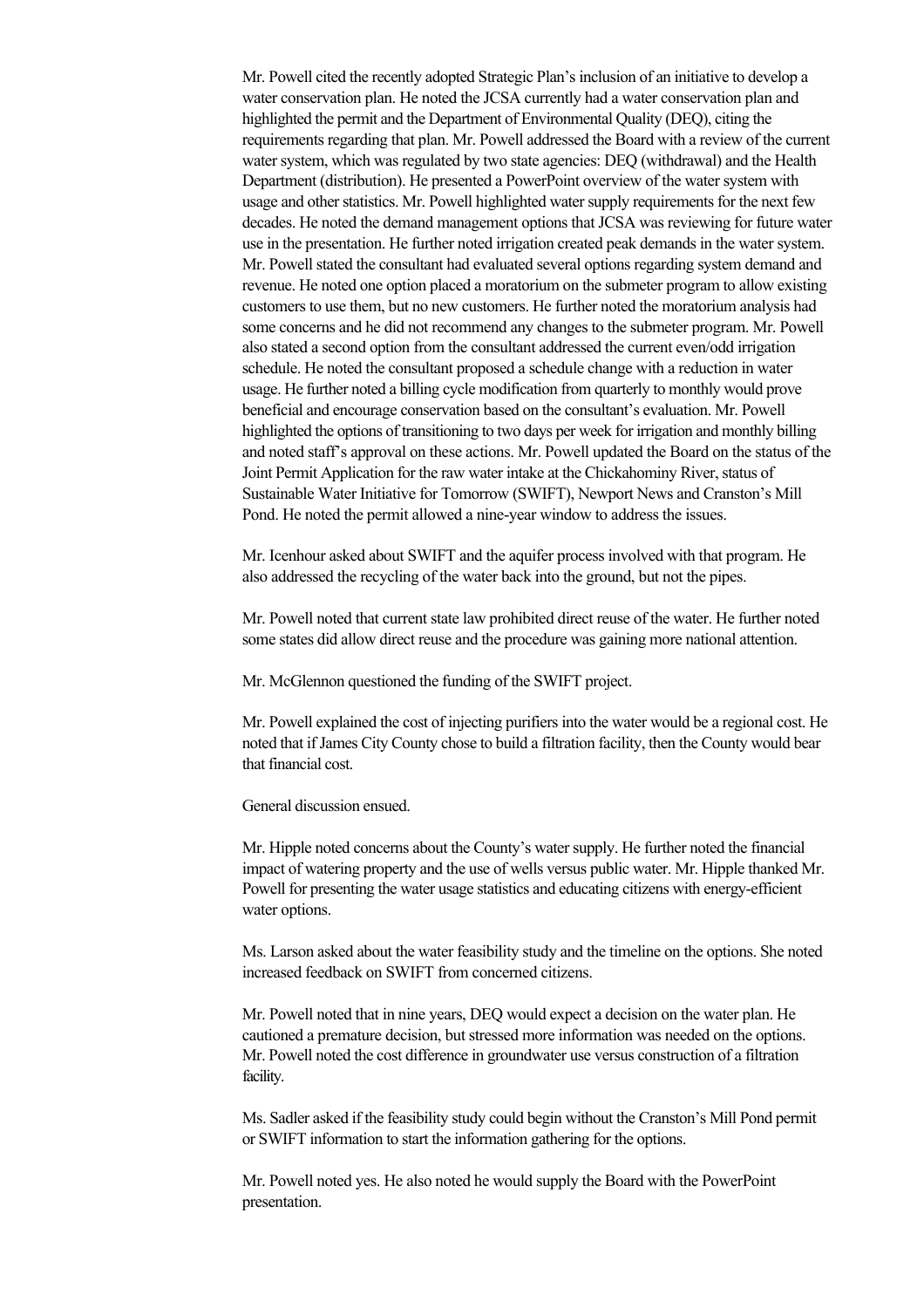Mr. Powell cited the recently adopted Strategic Plan's inclusion of an initiative to develop a water conservation plan. He noted the JCSA currently had a water conservation plan and highlighted the permit and the Department of Environmental Quality (DEQ), citing the requirements regarding that plan. Mr. Powell addressed the Board with a review of the current water system, which was regulated by two state agencies: DEQ (withdrawal) and the Health Department (distribution). He presented a PowerPoint overview of the water system with usage and other statistics. Mr. Powell highlighted water supply requirements for the next few decades. He noted the demand management options that JCSA was reviewing for future water use in the presentation. He further noted irrigation created peak demands in the water system. Mr. Powell stated the consultant had evaluated several options regarding system demand and revenue. He noted one option placed a moratorium on the submeter program to allow existing customers to use them, but no new customers. He further noted the moratorium analysis had some concerns and he did not recommend any changes to the submeter program. Mr. Powell also stated a second option from the consultant addressed the current even/odd irrigation schedule. He noted the consultant proposed a schedule change with a reduction in water usage. He further noted a billing cycle modification from quarterly to monthly would prove beneficial and encourage conservation based on the consultant's evaluation. Mr. Powell highlighted the options of transitioning to two days per week for irrigation and monthly billing and noted staff's approval on these actions. Mr. Powell updated the Board on the status of the Joint Permit Application for the raw water intake at the Chickahominy River, status of Sustainable Water Initiative for Tomorrow (SWIFT), Newport News and Cranston's Mill Pond. He noted the permit allowed a nine-year window to address the issues.

Mr. Icenhour asked about SWIFT and the aquifer process involved with that program. He also addressed the recycling of the water back into the ground, but not the pipes.

Mr. Powell noted that current state law prohibited direct reuse of the water. He further noted some states did allow direct reuse and the procedure was gaining more national attention.

Mr. McGlennon questioned the funding of the SWIFT project.

Mr. Powell explained the cost of injecting purifiers into the water would be a regional cost. He noted that if James City County chose to build a filtration facility, then the County would bear that financial cost.

General discussion ensued.

Mr. Hipple noted concerns about the County's water supply. He further noted the financial impact of watering property and the use of wells versus public water. Mr. Hipple thanked Mr. Powell for presenting the water usage statistics and educating citizens with energyefficient water options.

Ms. Larson asked about the water feasibility study and the timeline on the options. She noted increased feedback on SWIFT from concerned citizens.

Mr. Powell noted that in nine years, DEQ would expect a decision on the water plan. He cautioned a premature decision, but stressed more information was needed on the options. Mr. Powell noted the cost difference in groundwater use versus construction of a filtration facility.

Ms. Sadler asked if the feasibility study could begin without the Cranston's Mill Pond permit or SWIFT information to start the information gathering for the options.

Mr. Powell noted yes. He also noted he would supply the Board with the PowerPoint presentation.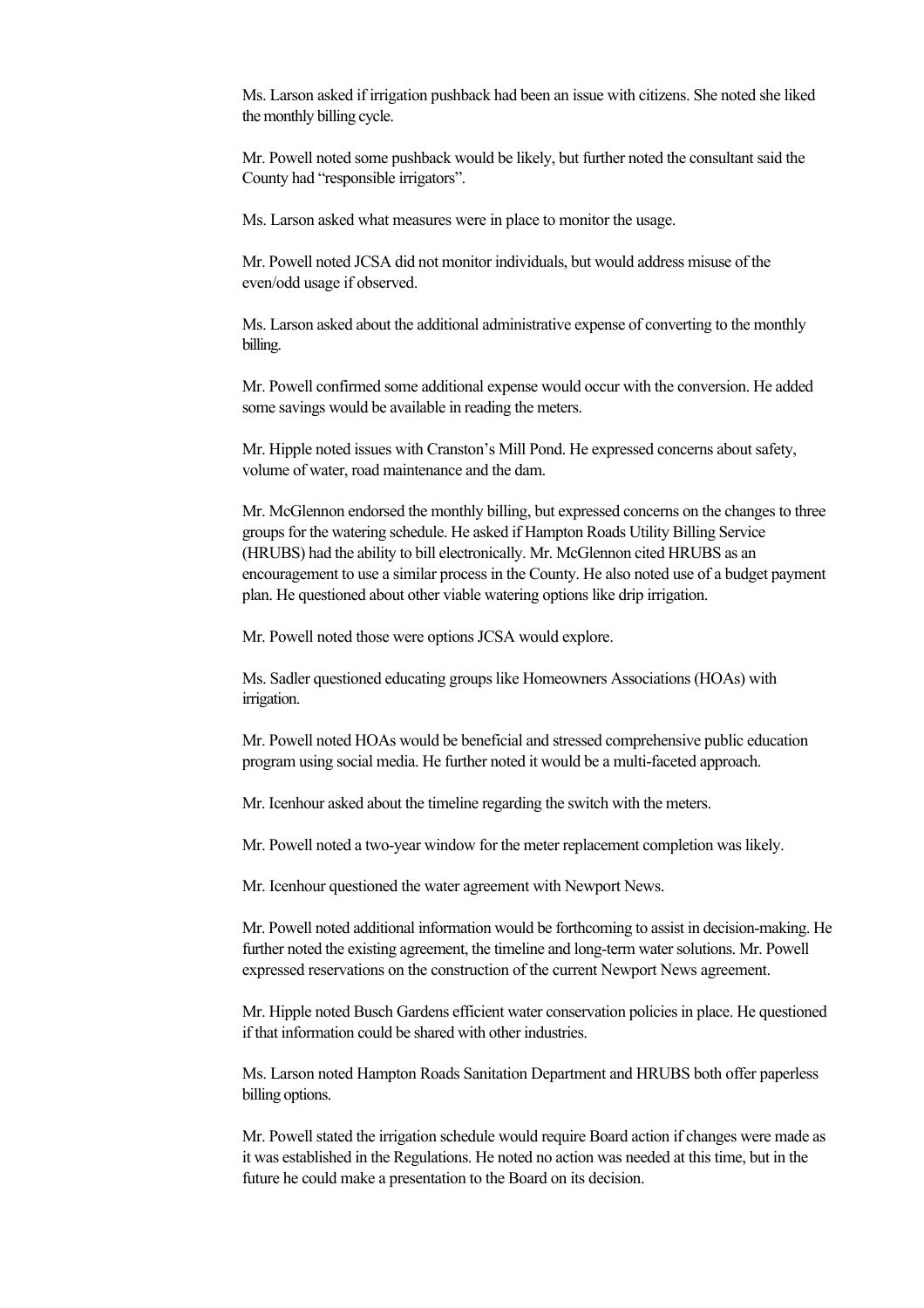Ms. Larson asked if irrigation pushback had been an issue with citizens. She noted she liked the monthly billing cycle.

Mr. Powell noted some pushback would be likely, but further noted the consultant said the County had "responsible irrigators".

Ms. Larson asked what measures were in place to monitor the usage.

Mr. Powell noted JCSA did not monitor individuals, but would address misuse of the even/odd usage if observed.

Ms. Larson asked about the additional administrative expense of converting to the monthly billing.

Mr. Powell confirmed some additional expense would occur with the conversion. He added some savings would be available in reading the meters.

Mr. Hipple noted issues with Cranston's Mill Pond. He expressed concerns about safety, volume of water, road maintenance and the dam.

Mr. McGlennon endorsed the monthly billing, but expressed concerns on the changes to three groups for the watering schedule. He asked if Hampton Roads Utility Billing Service (HRUBS) had the ability to bill electronically. Mr. McGlennon cited HRUBS as an encouragement to use a similar process in the County. He also noted use of a budget payment plan. He questioned about other viable watering options like drip irrigation.

Mr. Powell noted those were options JCSA would explore.

Ms. Sadler questioned educating groups like Homeowners Associations (HOAs) with irrigation.

Mr. Powell noted HOAs would be beneficial and stressed comprehensive public education program using social media. He further noted it would be a multi-faceted approach.

Mr. Icenhour asked about the timeline regarding the switch with the meters.

Mr. Powell noted a two-year window for the meter replacement completion was likely.

Mr. Icenhour questioned the water agreement with Newport News.

Mr. Powell noted additional information would be forthcoming to assist in decision-making. He further noted the existing agreement, the timeline and long-term water solutions. Mr. Powell expressed reservations on the construction of the current Newport News agreement.

Mr. Hipple noted Busch Gardens efficient water conservation policies in place. He questioned if that information could be shared with other industries.

Ms. Larson noted Hampton Roads Sanitation Department and HRUBS both offer paperless billing options.

Mr. Powell stated the irrigation schedule would require Board action if changes were made as it was established in the Regulations. He noted no action was needed at this time, but in the future he could make a presentation to the Board on its decision.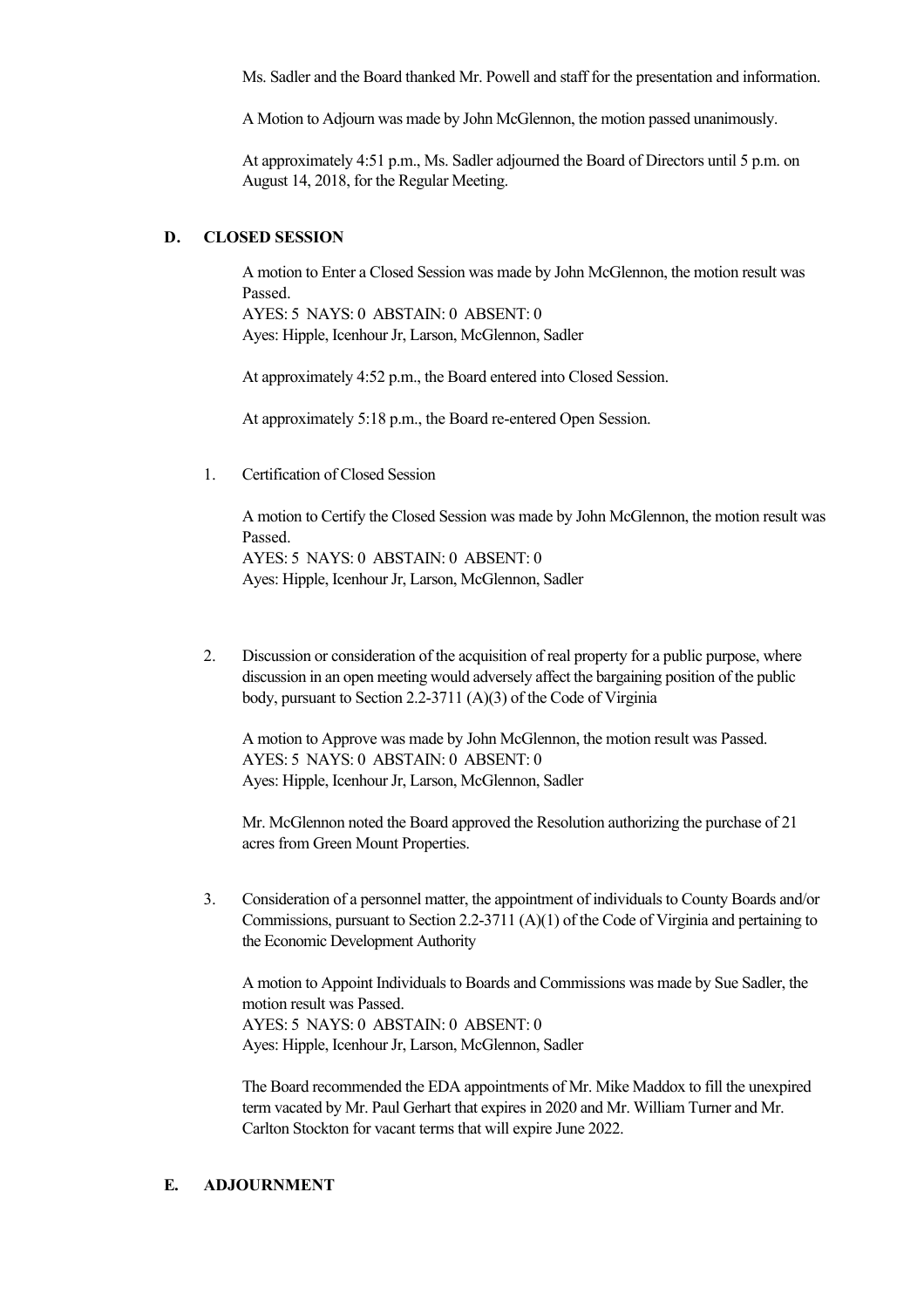Ms. Sadler and the Board thanked Mr. Powell and staff for the presentation and information.

A Motion to Adjourn was made by John McGlennon, the motion passed unanimously.

At approximately 4:51 p.m., Ms. Sadler adjourned the Board of Directors until 5 p.m. on August 14, 2018, for the Regular Meeting.

#### **D. CLOSED SESSION**

A motion to Enter a Closed Session was made by John McGlennon, the motion result was Passed. AYES: 5 NAYS: 0 ABSTAIN: 0 ABSENT: 0 Ayes: Hipple, Icenhour Jr, Larson, McGlennon, Sadler

At approximately 4:52 p.m., the Board entered into Closed Session.

At approximately 5:18 p.m., the Board re-entered Open Session.

1. Certification of Closed Session

A motion to Certify the Closed Session was made by John McGlennon, the motion result was Passed. AYES: 5 NAYS: 0 ABSTAIN: 0 ABSENT: 0 Ayes: Hipple, Icenhour Jr, Larson, McGlennon, Sadler

2. Discussion or consideration of the acquisition of real property for a public purpose, where discussion in an open meeting would adversely affect the bargaining position of the public body, pursuant to Section 2.2-3711 (A)(3) of the Code of Virginia

A motion to Approve was made by John McGlennon, the motion result was Passed. AYES: 5 NAYS: 0 ABSTAIN: 0 ABSENT: 0 Ayes: Hipple, Icenhour Jr, Larson, McGlennon, Sadler

Mr. McGlennon noted the Board approved the Resolution authorizing the purchase of 21 acres from Green Mount Properties.

3. Consideration of a personnel matter, the appointment of individuals to County Boards and/or Commissions, pursuant to Section 2.23711 (A)(1) of the Code of Virginia and pertaining to the Economic Development Authority

A motion to Appoint Individuals to Boards and Commissions was made by Sue Sadler, the motion result was Passed. AYES: 5 NAYS: 0 ABSTAIN: 0 ABSENT: 0 Ayes: Hipple, Icenhour Jr, Larson, McGlennon, Sadler

The Board recommended the EDA appointments of Mr. Mike Maddox to fill the unexpired term vacated by Mr. Paul Gerhart that expires in 2020 and Mr. William Turner and Mr. Carlton Stockton for vacant terms that will expire June 2022.

## **E. ADJOURNMENT**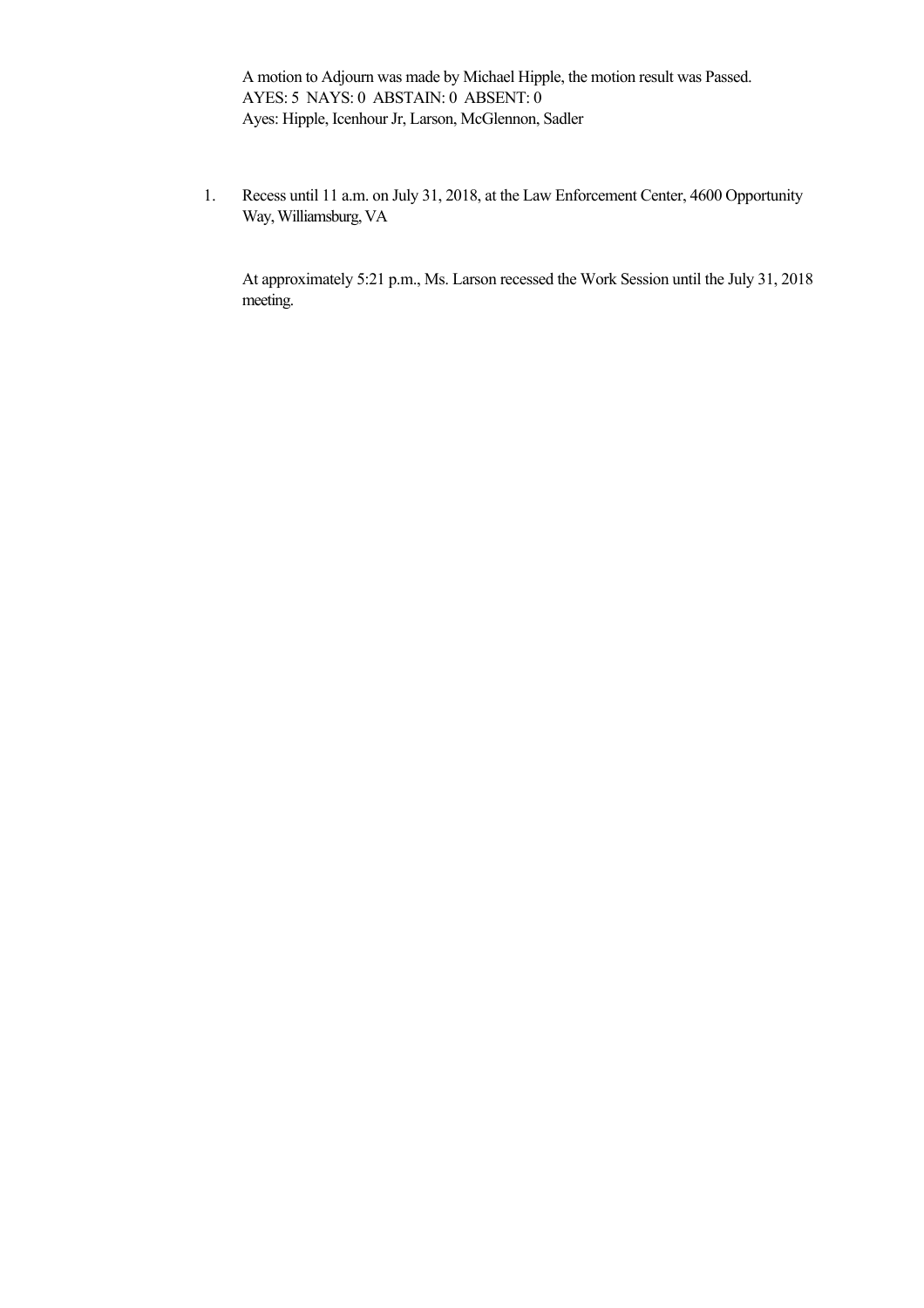A motion to Adjourn was made by Michael Hipple, the motion result was Passed. AYES: 5 NAYS: 0 ABSTAIN: 0 ABSENT: 0 Ayes: Hipple, Icenhour Jr, Larson, McGlennon, Sadler

1. Recess until 11 a.m. on July 31, 2018, at the Law Enforcement Center, 4600 Opportunity Way, Williamsburg, VA

At approximately 5:21 p.m., Ms. Larson recessed the Work Session until the July 31, 2018 meeting.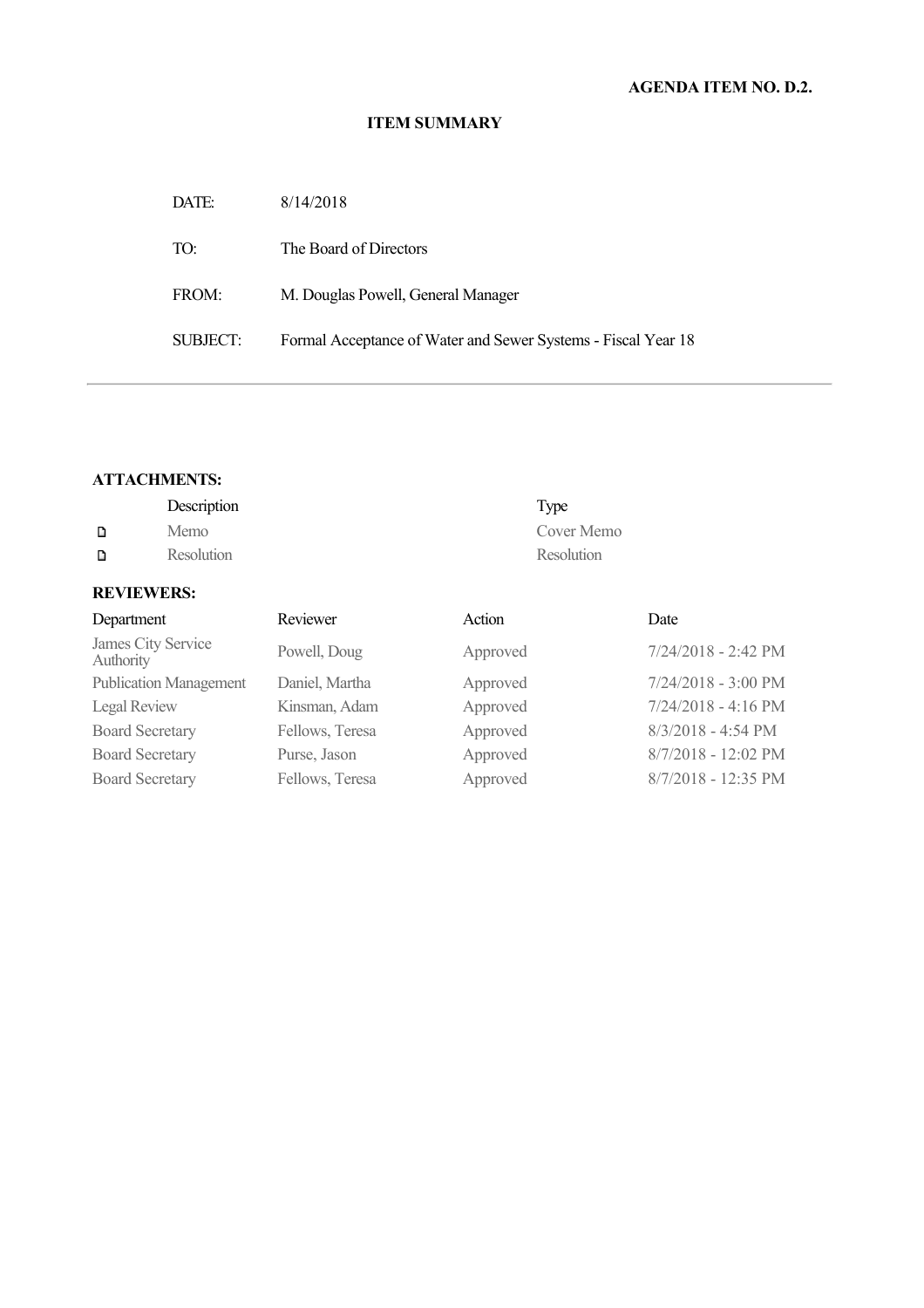| DATE:    | 8/14/2018                                                     |
|----------|---------------------------------------------------------------|
| TO:      | The Board of Directors                                        |
| FROM:    | M. Douglas Powell, General Manager                            |
| SUBJECT: | Formal Acceptance of Water and Sewer Systems - Fiscal Year 18 |

#### **ATTACHMENTS:**

**REVIEWERS:**

|   | Description | Type       |
|---|-------------|------------|
|   | Memo        | Cover Memo |
| D | Resolution  | Resolution |

# Department Reviewer Action Date James City Service Powell, Doug Approved 7/24/2018 - 2:42 PM Publication Management Daniel, Martha Approved 7/24/2018 - 3:00 PM Legal Review Kinsman, Adam Approved 7/24/2018 - 4:16 PM Board Secretary Fellows, Teresa Approved 8/3/2018 - 4:54 PM Board Secretary Purse, Jason Approved 8/7/2018 - 12:02 PM Board Secretary Fellows, Teresa Approved 8/7/2018 - 12:35 PM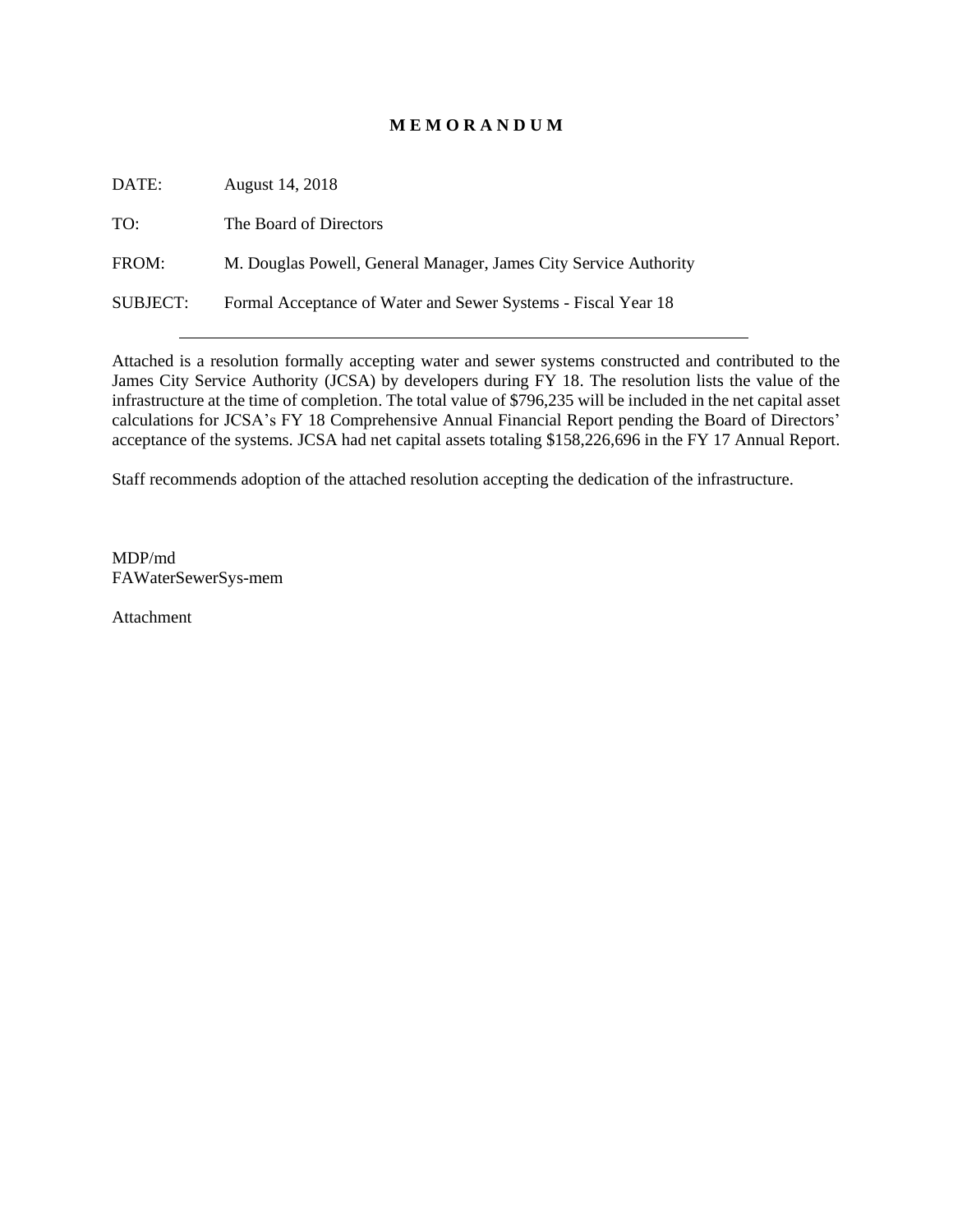# **M E M O R A N D U M**

DATE: August 14, 2018 TO: The Board of Directors FROM: M. Douglas Powell, General Manager, James City Service Authority SUBJECT: Formal Acceptance of Water and Sewer Systems - Fiscal Year 18

Attached is a resolution formally accepting water and sewer systems constructed and contributed to the James City Service Authority (JCSA) by developers during FY 18. The resolution lists the value of the infrastructure at the time of completion. The total value of \$796,235 will be included in the net capital asset calculations for JCSA's FY 18 Comprehensive Annual Financial Report pending the Board of Directors' acceptance of the systems. JCSA had net capital assets totaling \$158,226,696 in the FY 17 Annual Report.

Staff recommends adoption of the attached resolution accepting the dedication of the infrastructure.

MDP/md FAWaterSewerSys-mem

Attachment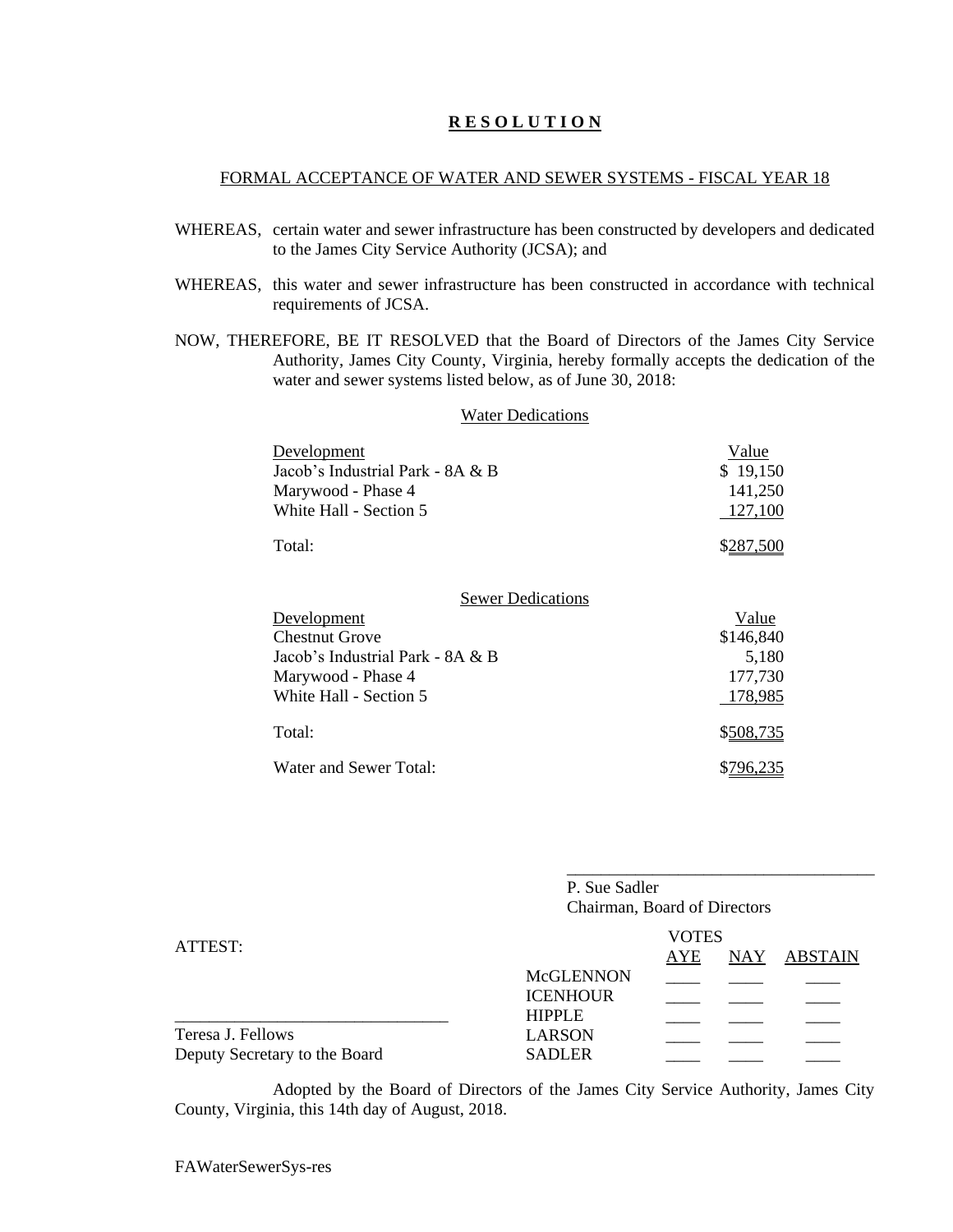## **R E S O L U T I O N**

#### FORMAL ACCEPTANCE OF WATER AND SEWER SYSTEMS - FISCAL YEAR 18

- WHEREAS, certain water and sewer infrastructure has been constructed by developers and dedicated to the James City Service Authority (JCSA); and
- WHEREAS, this water and sewer infrastructure has been constructed in accordance with technical requirements of JCSA.
- NOW, THEREFORE, BE IT RESOLVED that the Board of Directors of the James City Service Authority, James City County, Virginia, hereby formally accepts the dedication of the water and sewer systems listed below, as of June 30, 2018:

| <b>Water Dedications</b>                                                                                                                             |                                                   |  |  |
|------------------------------------------------------------------------------------------------------------------------------------------------------|---------------------------------------------------|--|--|
| Development<br>Jacob's Industrial Park - 8A & B<br>Marywood - Phase 4<br>White Hall - Section 5                                                      | Value<br>\$19,150<br>141,250<br>127,100           |  |  |
| Total:                                                                                                                                               | \$287,500                                         |  |  |
| <b>Sewer Dedications</b><br>Development<br><b>Chestnut Grove</b><br>Jacob's Industrial Park - 8A & B<br>Marywood - Phase 4<br>White Hall - Section 5 | Value<br>\$146,840<br>5,180<br>177,730<br>178,985 |  |  |
| Total:                                                                                                                                               | \$508,735                                         |  |  |
| Water and Sewer Total:                                                                                                                               | \$796.235                                         |  |  |

|                               | P. Sue Sadler<br>Chairman, Board of Directors |                     |            |                |  |
|-------------------------------|-----------------------------------------------|---------------------|------------|----------------|--|
| ATTEST:                       |                                               | <b>VOTES</b><br>AYE | <b>NAY</b> | <b>ABSTAIN</b> |  |
|                               | <b>McGLENNON</b>                              |                     |            |                |  |
|                               | <b>ICENHOUR</b><br><b>HIPPLE</b>              |                     |            |                |  |
|                               |                                               |                     |            |                |  |
| Teresa J. Fellows             | <b>LARSON</b>                                 |                     |            |                |  |
| Deputy Secretary to the Board | <b>SADLER</b>                                 |                     |            |                |  |

\_\_\_\_\_\_\_\_\_\_\_\_\_\_\_\_\_\_\_\_\_\_\_\_\_\_\_\_\_\_\_\_\_\_\_\_

Adopted by the Board of Directors of the James City Service Authority, James City County, Virginia, this 14th day of August, 2018.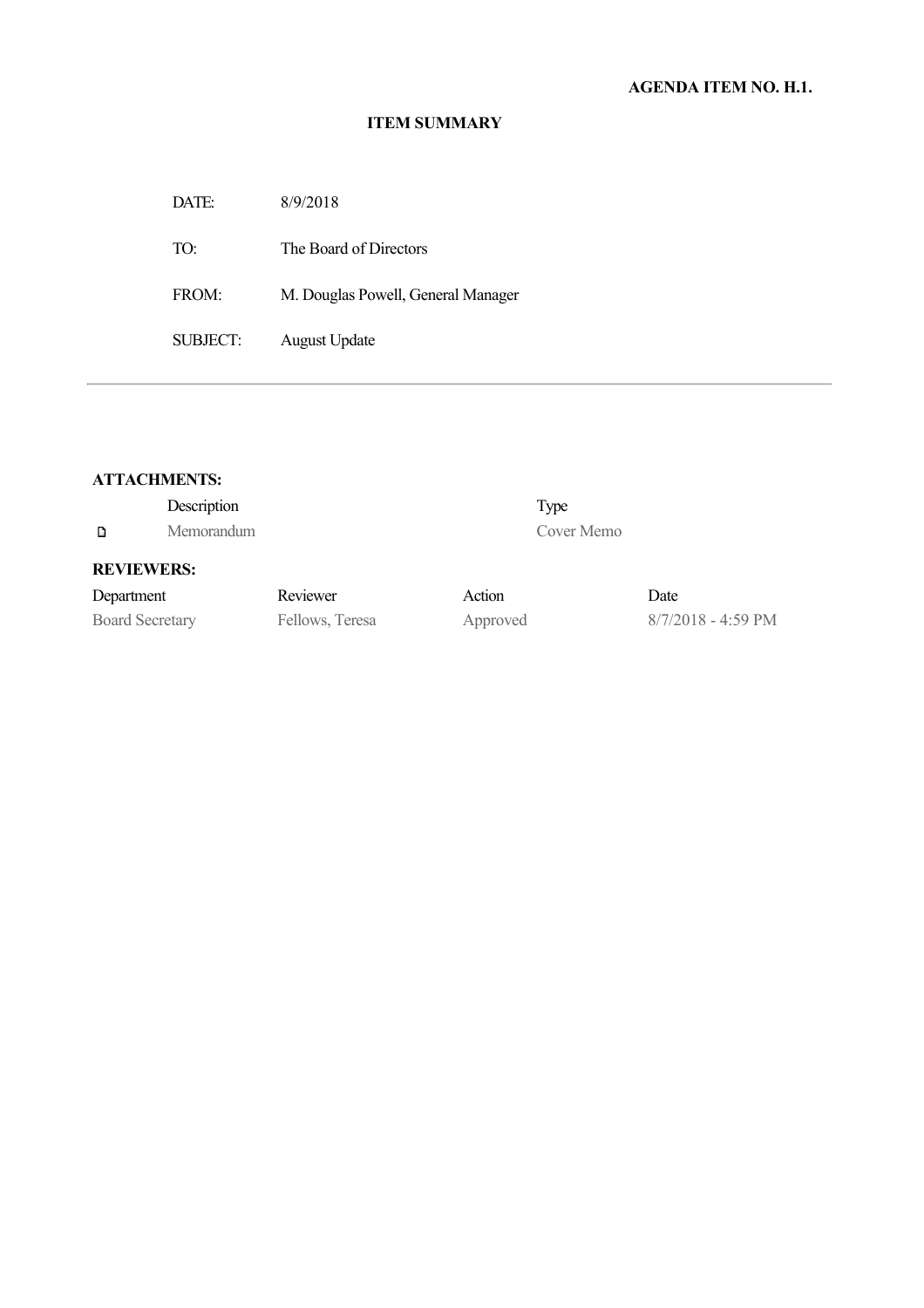DATE: 8/9/2018 TO: The Board of Directors FROM: M. Douglas Powell, General Manager SUBJECT: August Update

## **ATTACHMENTS:**

|                        | Description |                 |          | Type       |                              |
|------------------------|-------------|-----------------|----------|------------|------------------------------|
| D                      | Memorandum  |                 |          | Cover Memo |                              |
| <b>REVIEWERS:</b>      |             |                 |          |            |                              |
| Department             |             | Reviewer        | Action   |            | Date                         |
| <b>Board Secretary</b> |             | Fellows, Teresa | Approved |            | $8/7/2018 - 4:59 \text{ PM}$ |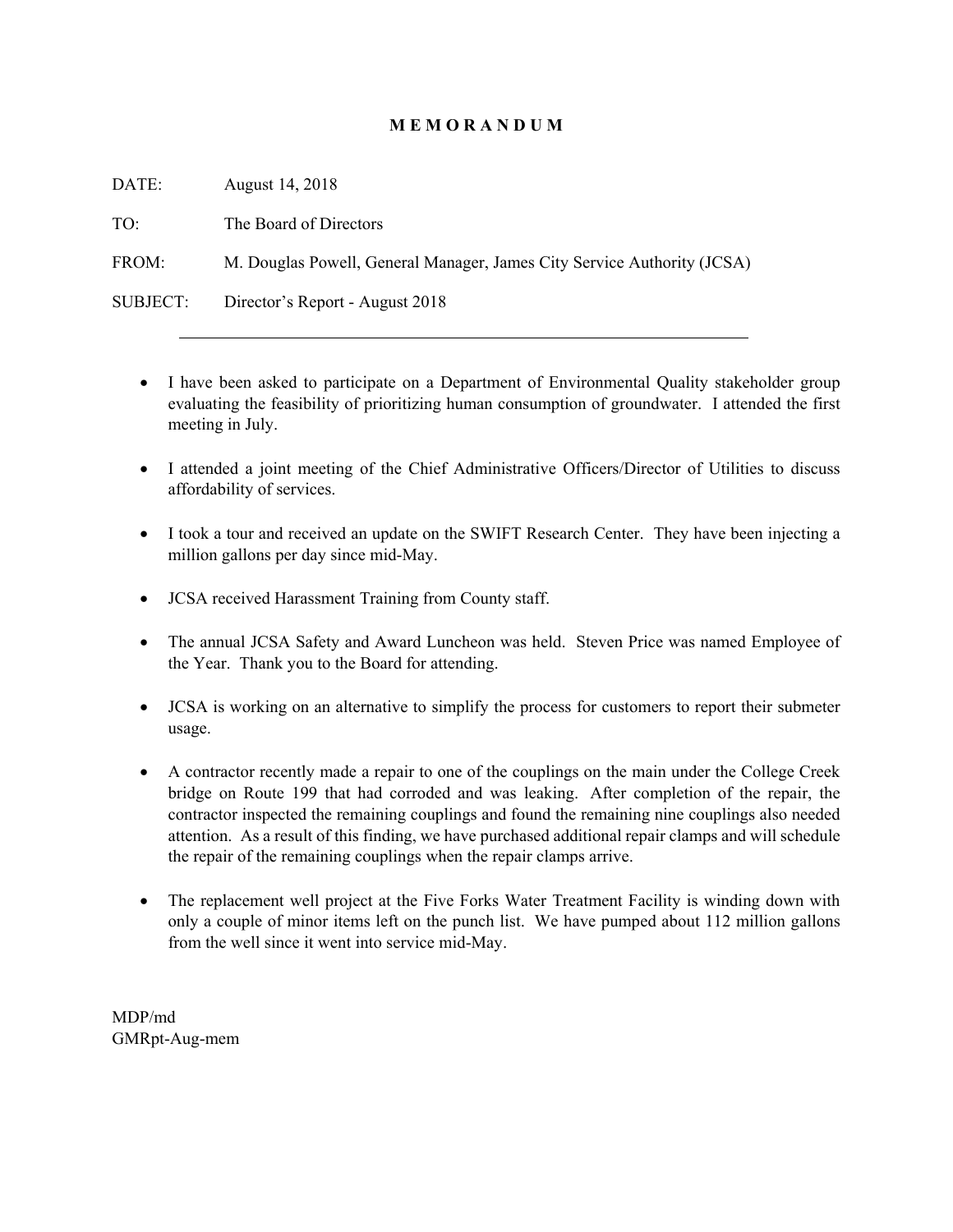# **M E M O R A N D U M**

DATE: August 14, 2018 TO: The Board of Directors FROM: M. Douglas Powell, General Manager, James City Service Authority (JCSA) SUBJECT: Director's Report - August 2018

- I have been asked to participate on a Department of Environmental Quality stakeholder group evaluating the feasibility of prioritizing human consumption of groundwater. I attended the first meeting in July.
- I attended a joint meeting of the Chief Administrative Officers/Director of Utilities to discuss affordability of services.
- I took a tour and received an update on the SWIFT Research Center. They have been injecting a million gallons per day since mid-May.
- JCSA received Harassment Training from County staff.
- The annual JCSA Safety and Award Luncheon was held. Steven Price was named Employee of the Year. Thank you to the Board for attending.
- JCSA is working on an alternative to simplify the process for customers to report their submeter usage.
- A contractor recently made a repair to one of the couplings on the main under the College Creek bridge on Route 199 that had corroded and was leaking. After completion of the repair, the contractor inspected the remaining couplings and found the remaining nine couplings also needed attention. As a result of this finding, we have purchased additional repair clamps and will schedule the repair of the remaining couplings when the repair clamps arrive.
- The replacement well project at the Five Forks Water Treatment Facility is winding down with only a couple of minor items left on the punch list. We have pumped about 112 million gallons from the well since it went into service mid-May.

MDP/md GMRpt-Aug-mem